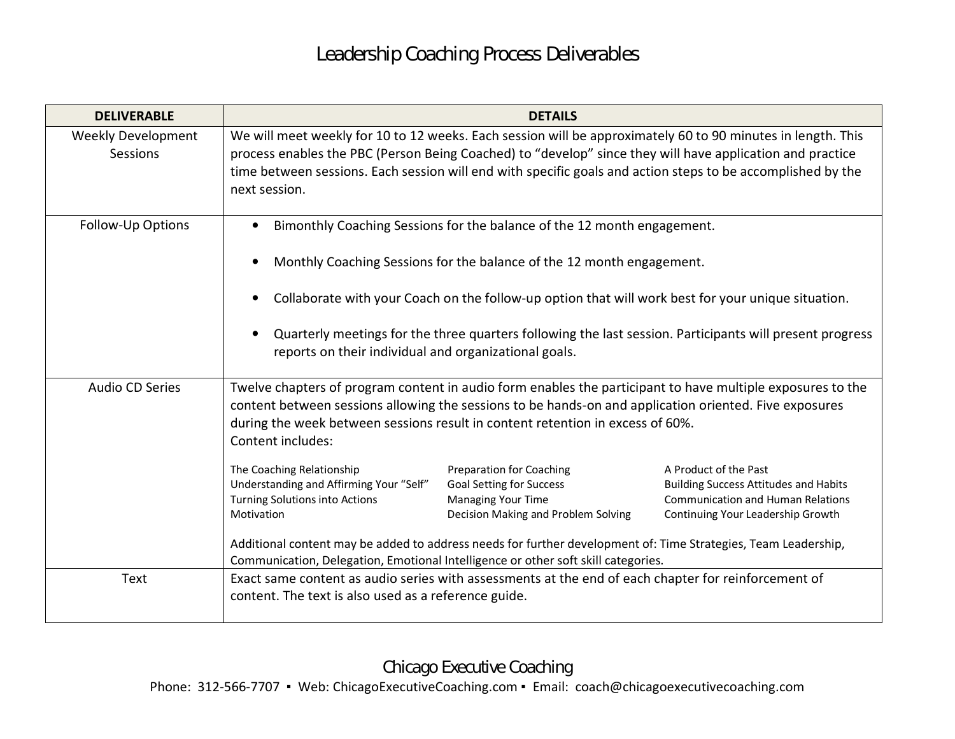| <b>DELIVERABLE</b>                    | <b>DETAILS</b>                                                                                                                                                                                                                                                                                                                                                                                                              |                                                                                                                                        |                                                                                                                                                        |  |
|---------------------------------------|-----------------------------------------------------------------------------------------------------------------------------------------------------------------------------------------------------------------------------------------------------------------------------------------------------------------------------------------------------------------------------------------------------------------------------|----------------------------------------------------------------------------------------------------------------------------------------|--------------------------------------------------------------------------------------------------------------------------------------------------------|--|
| <b>Weekly Development</b><br>Sessions | We will meet weekly for 10 to 12 weeks. Each session will be approximately 60 to 90 minutes in length. This<br>process enables the PBC (Person Being Coached) to "develop" since they will have application and practice<br>time between sessions. Each session will end with specific goals and action steps to be accomplished by the<br>next session.                                                                    |                                                                                                                                        |                                                                                                                                                        |  |
| Follow-Up Options                     | Bimonthly Coaching Sessions for the balance of the 12 month engagement.<br>Monthly Coaching Sessions for the balance of the 12 month engagement.<br>Collaborate with your Coach on the follow-up option that will work best for your unique situation.<br>Quarterly meetings for the three quarters following the last session. Participants will present progress<br>reports on their individual and organizational goals. |                                                                                                                                        |                                                                                                                                                        |  |
|                                       |                                                                                                                                                                                                                                                                                                                                                                                                                             |                                                                                                                                        |                                                                                                                                                        |  |
| Audio CD Series                       | Twelve chapters of program content in audio form enables the participant to have multiple exposures to the<br>content between sessions allowing the sessions to be hands-on and application oriented. Five exposures<br>during the week between sessions result in content retention in excess of 60%.<br>Content includes:                                                                                                 |                                                                                                                                        |                                                                                                                                                        |  |
|                                       | The Coaching Relationship<br>Understanding and Affirming Your "Self"<br>Turning Solutions into Actions<br>Motivation<br>Additional content may be added to address needs for further development of: Time Strategies, Team Leadership,<br>Communication, Delegation, Emotional Intelligence or other soft skill categories.                                                                                                 | <b>Preparation for Coaching</b><br><b>Goal Setting for Success</b><br><b>Managing Your Time</b><br>Decision Making and Problem Solving | A Product of the Past<br><b>Building Success Attitudes and Habits</b><br><b>Communication and Human Relations</b><br>Continuing Your Leadership Growth |  |
| Text                                  | Exact same content as audio series with assessments at the end of each chapter for reinforcement of<br>content. The text is also used as a reference guide.                                                                                                                                                                                                                                                                 |                                                                                                                                        |                                                                                                                                                        |  |